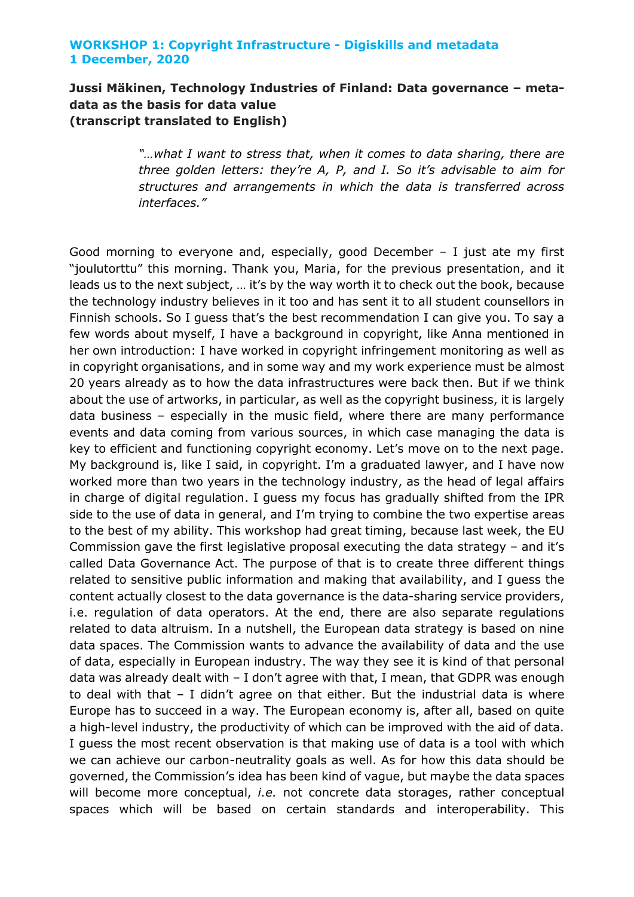# **Jussi Mäkinen, Technology Industries of Finland: Data governance – metadata as the basis for data value (transcript translated to English)**

*"…what I want to stress that, when it comes to data sharing, there are three golden letters: they're A, P, and I. So it's advisable to aim for structures and arrangements in which the data is transferred across interfaces."*

Good morning to everyone and, especially, good December – I just ate my first "joulutorttu" this morning. Thank you, Maria, for the previous presentation, and it leads us to the next subject, … it's by the way worth it to check out the book, because the technology industry believes in it too and has sent it to all student counsellors in Finnish schools. So I guess that's the best recommendation I can give you. To say a few words about myself, I have a background in copyright, like Anna mentioned in her own introduction: I have worked in copyright infringement monitoring as well as in copyright organisations, and in some way and my work experience must be almost 20 years already as to how the data infrastructures were back then. But if we think about the use of artworks, in particular, as well as the copyright business, it is largely data business – especially in the music field, where there are many performance events and data coming from various sources, in which case managing the data is key to efficient and functioning copyright economy. Let's move on to the next page. My background is, like I said, in copyright. I'm a graduated lawyer, and I have now worked more than two years in the technology industry, as the head of legal affairs in charge of digital regulation. I guess my focus has gradually shifted from the IPR side to the use of data in general, and I'm trying to combine the two expertise areas to the best of my ability. This workshop had great timing, because last week, the EU Commission gave the first legislative proposal executing the data strategy – and it's called Data Governance Act. The purpose of that is to create three different things related to sensitive public information and making that availability, and I guess the content actually closest to the data governance is the data-sharing service providers, i.e. regulation of data operators. At the end, there are also separate regulations related to data altruism. In a nutshell, the European data strategy is based on nine data spaces. The Commission wants to advance the availability of data and the use of data, especially in European industry. The way they see it is kind of that personal data was already dealt with – I don't agree with that, I mean, that GDPR was enough to deal with that – I didn't agree on that either. But the industrial data is where Europe has to succeed in a way. The European economy is, after all, based on quite a high-level industry, the productivity of which can be improved with the aid of data. I guess the most recent observation is that making use of data is a tool with which we can achieve our carbon-neutrality goals as well. As for how this data should be governed, the Commission's idea has been kind of vague, but maybe the data spaces will become more conceptual, *i.e.* not concrete data storages, rather conceptual spaces which will be based on certain standards and interoperability. This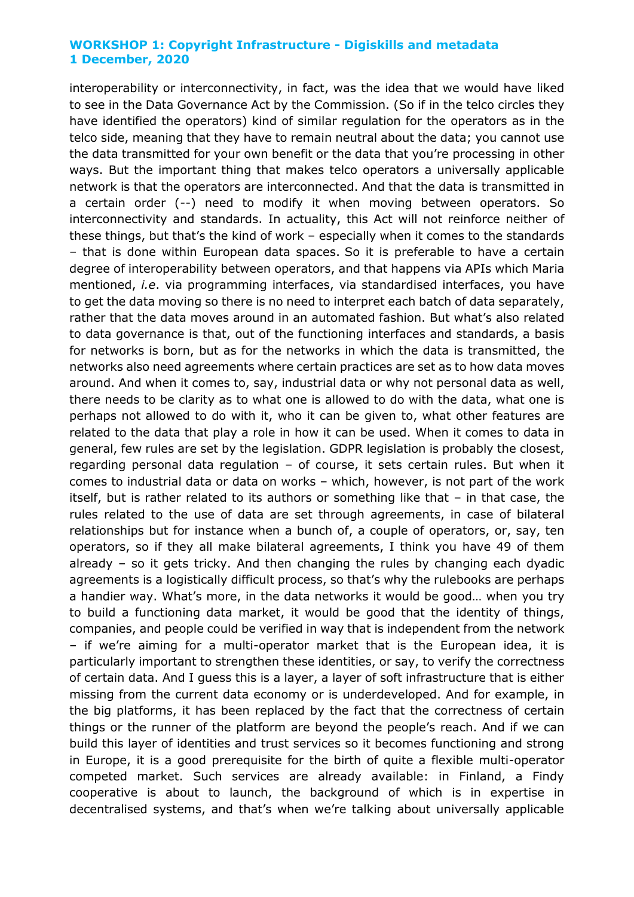interoperability or interconnectivity, in fact, was the idea that we would have liked to see in the Data Governance Act by the Commission. (So if in the telco circles they have identified the operators) kind of similar regulation for the operators as in the telco side, meaning that they have to remain neutral about the data; you cannot use the data transmitted for your own benefit or the data that you're processing in other ways. But the important thing that makes telco operators a universally applicable network is that the operators are interconnected. And that the data is transmitted in a certain order (--) need to modify it when moving between operators. So interconnectivity and standards. In actuality, this Act will not reinforce neither of these things, but that's the kind of work – especially when it comes to the standards – that is done within European data spaces. So it is preferable to have a certain degree of interoperability between operators, and that happens via APIs which Maria mentioned, *i.e*. via programming interfaces, via standardised interfaces, you have to get the data moving so there is no need to interpret each batch of data separately, rather that the data moves around in an automated fashion. But what's also related to data governance is that, out of the functioning interfaces and standards, a basis for networks is born, but as for the networks in which the data is transmitted, the networks also need agreements where certain practices are set as to how data moves around. And when it comes to, say, industrial data or why not personal data as well, there needs to be clarity as to what one is allowed to do with the data, what one is perhaps not allowed to do with it, who it can be given to, what other features are related to the data that play a role in how it can be used. When it comes to data in general, few rules are set by the legislation. GDPR legislation is probably the closest, regarding personal data regulation – of course, it sets certain rules. But when it comes to industrial data or data on works – which, however, is not part of the work itself, but is rather related to its authors or something like that – in that case, the rules related to the use of data are set through agreements, in case of bilateral relationships but for instance when a bunch of, a couple of operators, or, say, ten operators, so if they all make bilateral agreements, I think you have 49 of them already – so it gets tricky. And then changing the rules by changing each dyadic agreements is a logistically difficult process, so that's why the rulebooks are perhaps a handier way. What's more, in the data networks it would be good… when you try to build a functioning data market, it would be good that the identity of things, companies, and people could be verified in way that is independent from the network – if we're aiming for a multi-operator market that is the European idea, it is particularly important to strengthen these identities, or say, to verify the correctness of certain data. And I guess this is a layer, a layer of soft infrastructure that is either missing from the current data economy or is underdeveloped. And for example, in the big platforms, it has been replaced by the fact that the correctness of certain things or the runner of the platform are beyond the people's reach. And if we can build this layer of identities and trust services so it becomes functioning and strong in Europe, it is a good prerequisite for the birth of quite a flexible multi-operator competed market. Such services are already available: in Finland, a Findy cooperative is about to launch, the background of which is in expertise in decentralised systems, and that's when we're talking about universally applicable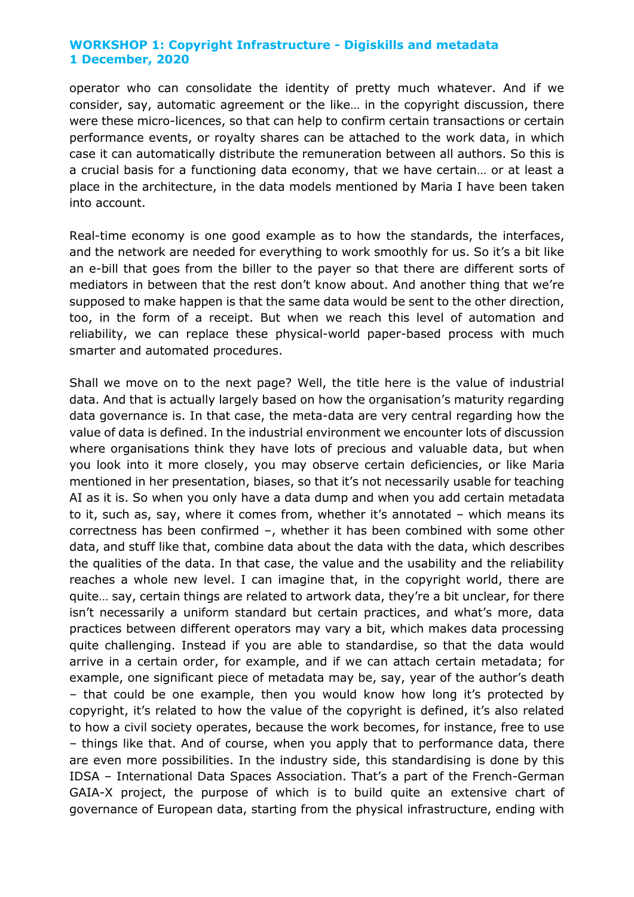operator who can consolidate the identity of pretty much whatever. And if we consider, say, automatic agreement or the like… in the copyright discussion, there were these micro-licences, so that can help to confirm certain transactions or certain performance events, or royalty shares can be attached to the work data, in which case it can automatically distribute the remuneration between all authors. So this is a crucial basis for a functioning data economy, that we have certain… or at least a place in the architecture, in the data models mentioned by Maria I have been taken into account.

Real-time economy is one good example as to how the standards, the interfaces, and the network are needed for everything to work smoothly for us. So it's a bit like an e-bill that goes from the biller to the payer so that there are different sorts of mediators in between that the rest don't know about. And another thing that we're supposed to make happen is that the same data would be sent to the other direction, too, in the form of a receipt. But when we reach this level of automation and reliability, we can replace these physical-world paper-based process with much smarter and automated procedures.

Shall we move on to the next page? Well, the title here is the value of industrial data. And that is actually largely based on how the organisation's maturity regarding data governance is. In that case, the meta-data are very central regarding how the value of data is defined. In the industrial environment we encounter lots of discussion where organisations think they have lots of precious and valuable data, but when you look into it more closely, you may observe certain deficiencies, or like Maria mentioned in her presentation, biases, so that it's not necessarily usable for teaching AI as it is. So when you only have a data dump and when you add certain metadata to it, such as, say, where it comes from, whether it's annotated – which means its correctness has been confirmed –, whether it has been combined with some other data, and stuff like that, combine data about the data with the data, which describes the qualities of the data. In that case, the value and the usability and the reliability reaches a whole new level. I can imagine that, in the copyright world, there are quite… say, certain things are related to artwork data, they're a bit unclear, for there isn't necessarily a uniform standard but certain practices, and what's more, data practices between different operators may vary a bit, which makes data processing quite challenging. Instead if you are able to standardise, so that the data would arrive in a certain order, for example, and if we can attach certain metadata; for example, one significant piece of metadata may be, say, year of the author's death – that could be one example, then you would know how long it's protected by copyright, it's related to how the value of the copyright is defined, it's also related to how a civil society operates, because the work becomes, for instance, free to use – things like that. And of course, when you apply that to performance data, there are even more possibilities. In the industry side, this standardising is done by this IDSA – International Data Spaces Association. That's a part of the French-German GAIA-X project, the purpose of which is to build quite an extensive chart of governance of European data, starting from the physical infrastructure, ending with